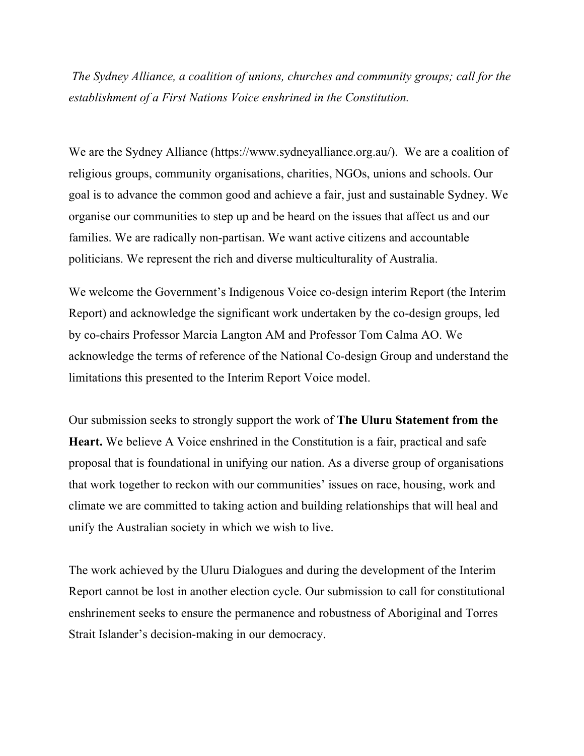*The Sydney Alliance, a coalition of unions, churches and community groups; call for the establishment of a First Nations Voice enshrined in the Constitution.* 

We are the Sydney Alliance (https://www.sydneyalliance.org.au/). We are a coalition of goal is to advance the common good and achieve a fair, just and sustainable Sydney. We families. We are radically non-partisan. We want active citizens and accountable politicians. We represent the rich and diverse multiculturality of Australia. religious groups, community organisations, charities, NGOs, unions and schools. Our organise our communities to step up and be heard on the issues that affect us and our

 We welcome the Government's Indigenous Voice co-design interim Report (the Interim Report) and acknowledge the significant work undertaken by the co-design groups, led by co-chairs Professor Marcia Langton AM and Professor Tom Calma AO. We acknowledge the terms of reference of the National Co-design Group and understand the limitations this presented to the Interim Report Voice model.

 Our submission seeks to strongly support the work of **The Uluru Statement from the Heart.** We believe A Voice enshrined in the Constitution is a fair, practical and safe proposal that is foundational in unifying our nation. As a diverse group of organisations unify the Australian society in which we wish to live. that work together to reckon with our communities' issues on race, housing, work and climate we are committed to taking action and building relationships that will heal and

 Strait Islander's decision-making in our democracy. The work achieved by the Uluru Dialogues and during the development of the Interim Report cannot be lost in another election cycle. Our submission to call for constitutional enshrinement seeks to ensure the permanence and robustness of Aboriginal and Torres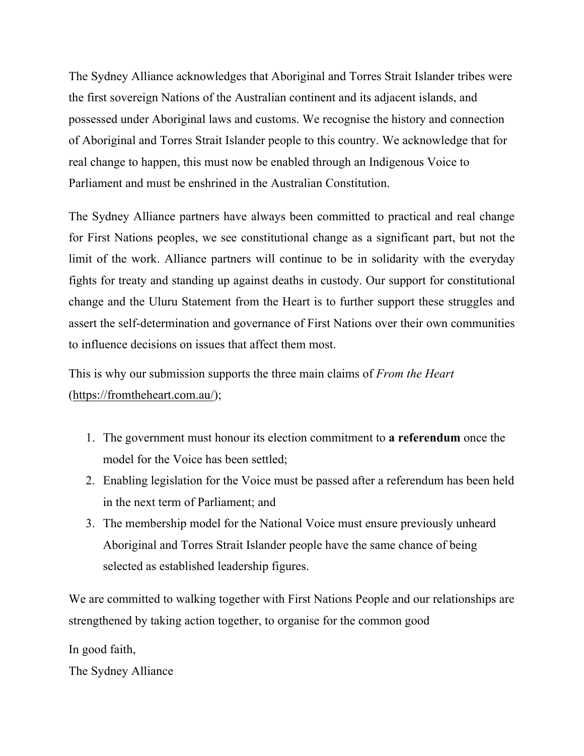The Sydney Alliance acknowledges that Aboriginal and Torres Strait Islander tribes were possessed under Aboriginal laws and customs. We recognise the history and connection of Aboriginal and Torres Strait Islander people to this country. We acknowledge that for Parliament and must be enshrined in the Australian Constitution. the first sovereign Nations of the Australian continent and its adjacent islands, and real change to happen, this must now be enabled through an Indigenous Voice to

 The Sydney Alliance partners have always been committed to practical and real change limit of the work. Alliance partners will continue to be in solidarity with the everyday fights for treaty and standing up against deaths in custody. Our support for constitutional change and the Uluru Statement from the Heart is to further support these struggles and assert the self-determination and governance of First Nations over their own communities to influence decisions on issues that affect them most. for First Nations peoples, we see constitutional change as a significant part, but not the

 This is why our submission supports the three main claims of *From the Heart*  (https://fromtheheart.com.au/);

- 1. The government must honour its election commitment to **a referendum** once the model for the Voice has been settled;
- 2. Enabling legislation for the Voice must be passed after a referendum has been held in the next term of Parliament; and
- 3. The membership model for the National Voice must ensure previously unheard Aboriginal and Torres Strait Islander people have the same chance of being selected as established leadership figures.

 We are committed to walking together with First Nations People and our relationships are strengthened by taking action together, to organise for the common good

In good faith,

The Sydney Alliance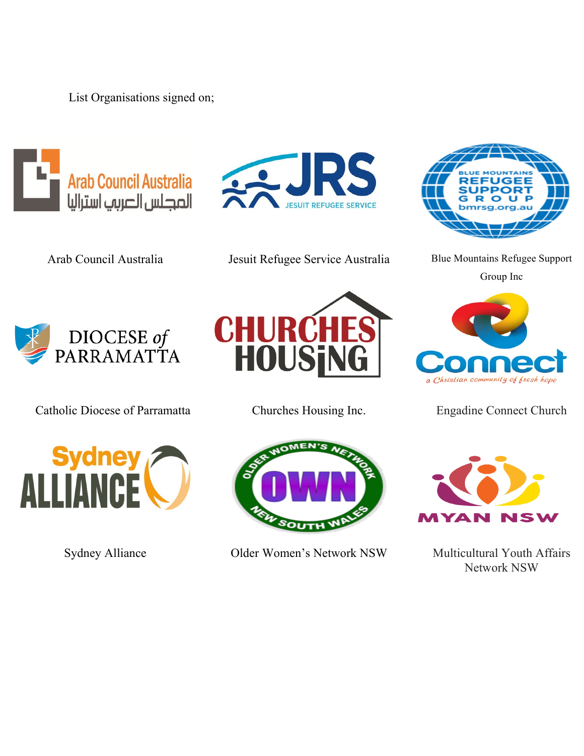List Organisations signed on;







Jesuit Refugee Service Australia Blue Mountains Refugee Support



Group Inc



Catholic Diocese of Parramatta Churches Housing Inc. Engadine Connect Church







Sydney Alliance **Older Women's Network NSW** Multicultural Youth Affairs





Network NSW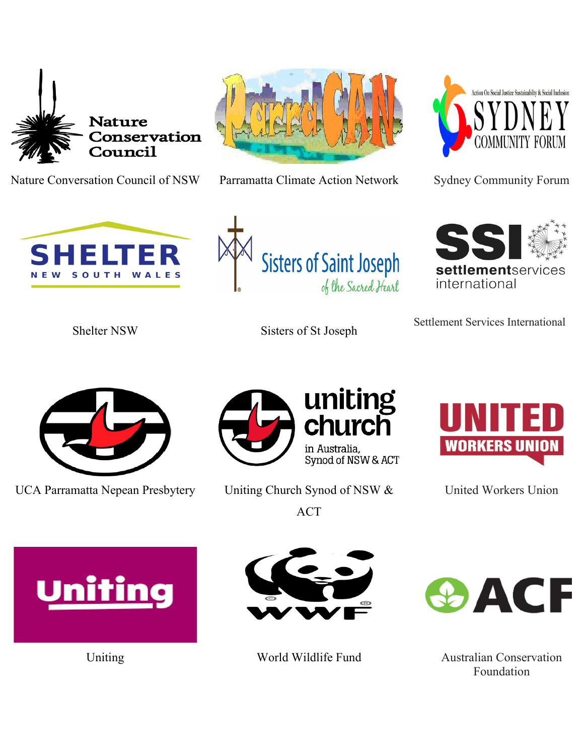

Nature Conversation Council of NSW Parramatta Climate Action Network Sydney Community Forum









settlementservices international

**Shelter NSW** 

Sisters of St Joseph

Settlement Services International



UCA Parramatta Nepean Presbytery Uniting Church Synod of NSW  $\&$  United Workers Union





ACT





World Wildlife Fund





Uniting World Wildlife Fund Australian Conservation Foundation